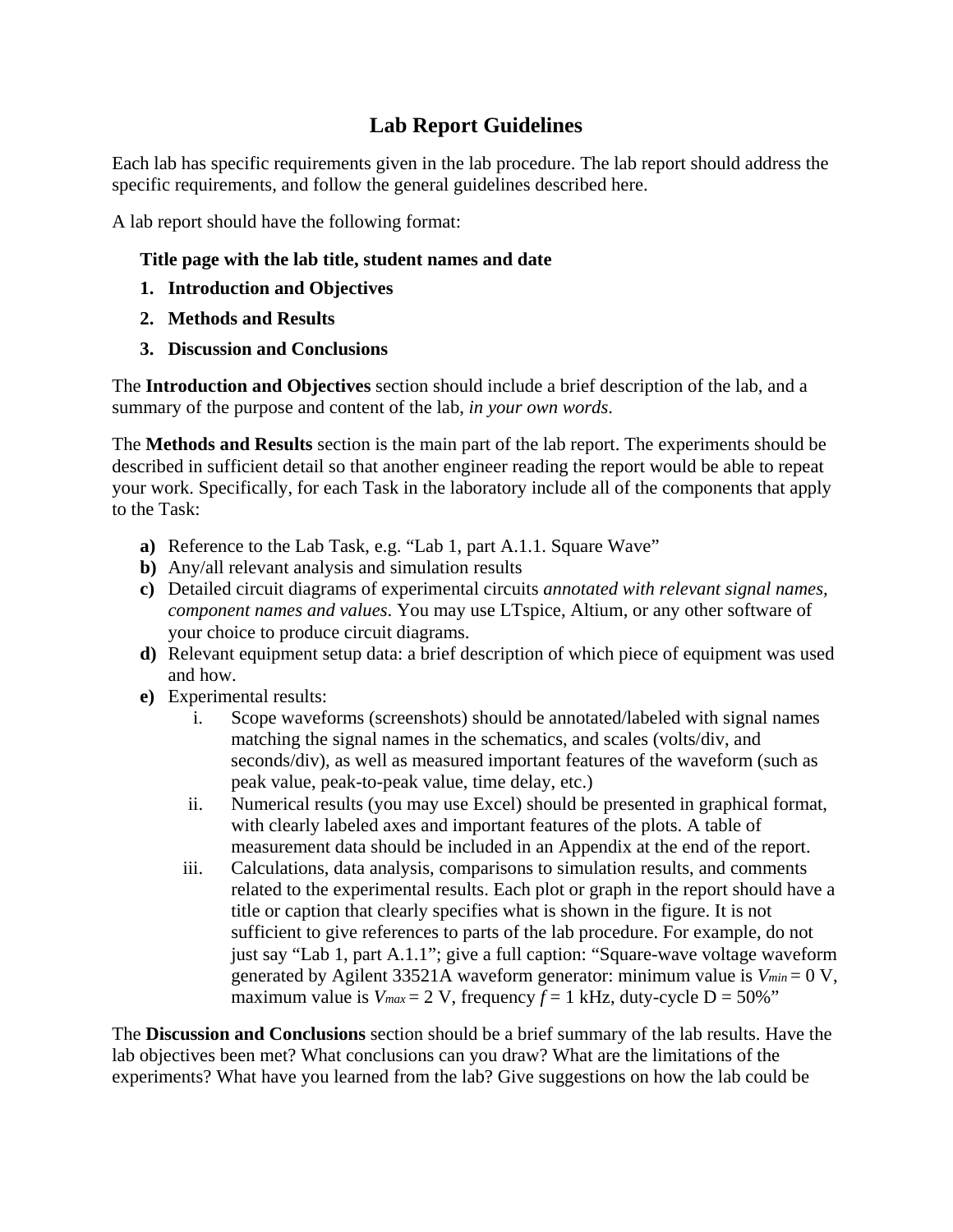## **Lab Report Guidelines**

Each lab has specific requirements given in the lab procedure. The lab report should address the specific requirements, and follow the general guidelines described here.

A lab report should have the following format:

## **Title page with the lab title, student names and date**

- **1. Introduction and Objectives**
- **2. Methods and Results**
- **3. Discussion and Conclusions**

The **Introduction and Objectives** section should include a brief description of the lab, and a summary of the purpose and content of the lab, *in your own words*.

The **Methods and Results** section is the main part of the lab report. The experiments should be described in sufficient detail so that another engineer reading the report would be able to repeat your work. Specifically, for each Task in the laboratory include all of the components that apply to the Task:

- **a)** Reference to the Lab Task, e.g. "Lab 1, part A.1.1. Square Wave"
- **b)** Any/all relevant analysis and simulation results
- **c)** Detailed circuit diagrams of experimental circuits *annotated with relevant signal names, component names and values*. You may use LTspice, Altium, or any other software of your choice to produce circuit diagrams.
- **d)** Relevant equipment setup data: a brief description of which piece of equipment was used and how.
- **e)** Experimental results:
	- i. Scope waveforms (screenshots) should be annotated/labeled with signal names matching the signal names in the schematics, and scales (volts/div, and seconds/div), as well as measured important features of the waveform (such as peak value, peak-to-peak value, time delay, etc.)
	- ii. Numerical results (you may use Excel) should be presented in graphical format, with clearly labeled axes and important features of the plots. A table of measurement data should be included in an Appendix at the end of the report.
	- iii. Calculations, data analysis, comparisons to simulation results, and comments related to the experimental results. Each plot or graph in the report should have a title or caption that clearly specifies what is shown in the figure. It is not sufficient to give references to parts of the lab procedure. For example, do not just say "Lab 1, part A.1.1"; give a full caption: "Square-wave voltage waveform generated by Agilent 33521A waveform generator: minimum value is  $V_{min} = 0$  V, maximum value is  $V_{max} = 2$  V, frequency  $f = 1$  kHz, duty-cycle  $D = 50\%$ "

The **Discussion and Conclusions** section should be a brief summary of the lab results. Have the lab objectives been met? What conclusions can you draw? What are the limitations of the experiments? What have you learned from the lab? Give suggestions on how the lab could be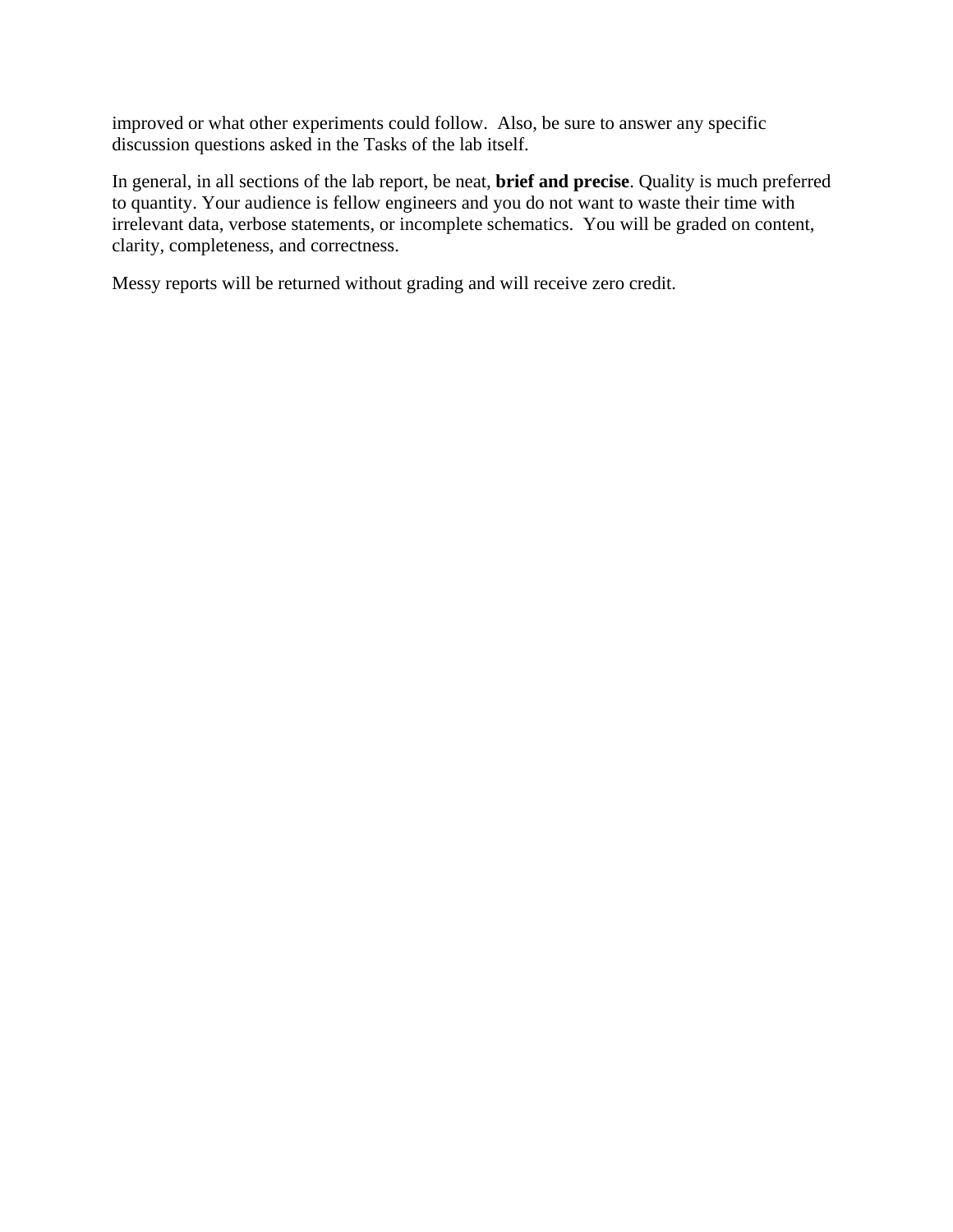improved or what other experiments could follow. Also, be sure to answer any specific discussion questions asked in the Tasks of the lab itself.

In general, in all sections of the lab report, be neat, **brief and precise**. Quality is much preferred to quantity. Your audience is fellow engineers and you do not want to waste their time with irrelevant data, verbose statements, or incomplete schematics. You will be graded on content, clarity, completeness, and correctness.

Messy reports will be returned without grading and will receive zero credit.